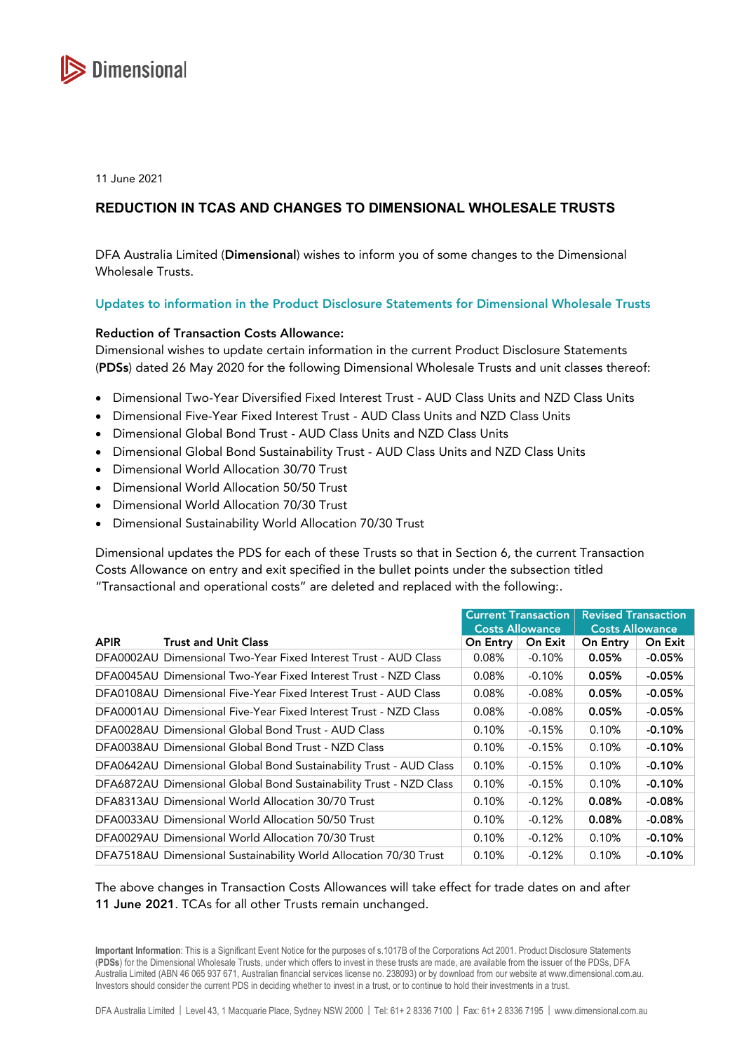

11 June 2021

# **REDUCTION IN TCAS AND CHANGES TO DIMENSIONAL WHOLESALE TRUSTS**

DFA Australia Limited (Dimensional) wishes to inform you of some changes to the Dimensional Wholesale Trusts.

### Updates to information in the Product Disclosure Statements for Dimensional Wholesale Trusts

#### Reduction of Transaction Costs Allowance:

Dimensional wishes to update certain information in the current Product Disclosure Statements (PDSs) dated 26 May 2020 for the following Dimensional Wholesale Trusts and unit classes thereof:

- Dimensional Two-Year Diversified Fixed Interest Trust AUD Class Units and NZD Class Units
- Dimensional Five-Year Fixed Interest Trust AUD Class Units and NZD Class Units
- Dimensional Global Bond Trust AUD Class Units and NZD Class Units
- Dimensional Global Bond Sustainability Trust AUD Class Units and NZD Class Units
- Dimensional World Allocation 30/70 Trust
- Dimensional World Allocation 50/50 Trust
- Dimensional World Allocation 70/30 Trust
- Dimensional Sustainability World Allocation 70/30 Trust

Dimensional updates the PDS for each of these Trusts so that in Section 6, the current Transaction Costs Allowance on entry and exit specified in the bullet points under the subsection titled "Transactional and operational costs" are deleted and replaced with the following:.

|             |                                                                    | <b>Current Transaction</b><br><b>Costs Allowance</b> |           | <b>Revised Transaction</b><br><b>Costs Allowance</b> |                |
|-------------|--------------------------------------------------------------------|------------------------------------------------------|-----------|------------------------------------------------------|----------------|
|             |                                                                    |                                                      |           |                                                      |                |
| <b>APIR</b> | <b>Trust and Unit Class</b>                                        | On Entry                                             | On Exit   | <b>On Entry</b>                                      | <b>On Exit</b> |
|             | DFA0002AU Dimensional Two-Year Fixed Interest Trust - AUD Class    | $0.08\%$                                             | $-0.10%$  | 0.05%                                                | $-0.05%$       |
|             | DFA0045AU Dimensional Two-Year Fixed Interest Trust - NZD Class    | $0.08\%$                                             | $-0.10\%$ | 0.05%                                                | $-0.05%$       |
|             | DFA0108AU Dimensional Five-Year Fixed Interest Trust - AUD Class   | $0.08\%$                                             | $-0.08\%$ | 0.05%                                                | $-0.05%$       |
|             | DFA0001AU Dimensional Five-Year Fixed Interest Trust - NZD Class   | 0.08%                                                | $-0.08\%$ | 0.05%                                                | $-0.05%$       |
|             | DFA0028AU Dimensional Global Bond Trust - AUD Class                | 0.10%                                                | $-0.15%$  | 0.10%                                                | $-0.10%$       |
|             | DFA0038AU Dimensional Global Bond Trust - NZD Class                | 0.10%                                                | $-0.15%$  | 0.10%                                                | $-0.10%$       |
|             | DFA0642AU Dimensional Global Bond Sustainability Trust - AUD Class | 0.10%                                                | $-0.15%$  | 0.10%                                                | $-0.10%$       |
|             | DFA6872AU Dimensional Global Bond Sustainability Trust - NZD Class | 0.10%                                                | $-0.15%$  | 0.10%                                                | $-0.10%$       |
|             | DFA8313AU Dimensional World Allocation 30/70 Trust                 | 0.10%                                                | $-0.12%$  | $0.08\%$                                             | -0.08%         |
|             | DFA0033AU Dimensional World Allocation 50/50 Trust                 | 0.10%                                                | $-0.12%$  | 0.08%                                                | $-0.08%$       |
|             | DFA0029AU Dimensional World Allocation 70/30 Trust                 | 0.10%                                                | $-0.12%$  | 0.10%                                                | $-0.10%$       |
|             | DFA7518AU Dimensional Sustainability World Allocation 70/30 Trust  | 0.10%                                                | $-0.12%$  | 0.10%                                                | $-0.10%$       |

## The above changes in Transaction Costs Allowances will take effect for trade dates on and after 11 June 2021. TCAs for all other Trusts remain unchanged.

**Important Information**: This is a Significant Event Notice for the purposes of s.1017B of the Corporations Act 2001. Product Disclosure Statements (**PDSs**) for the Dimensional Wholesale Trusts, under which offers to invest in these trusts are made, are available from the issuer of the PDSs, DFA Australia Limited (ABN 46 065 937 671, Australian financial services license no. 238093) or by download from our website at www.dimensional.com.au. Investors should consider the current PDS in deciding whether to invest in a trust, or to continue to hold their investments in a trust.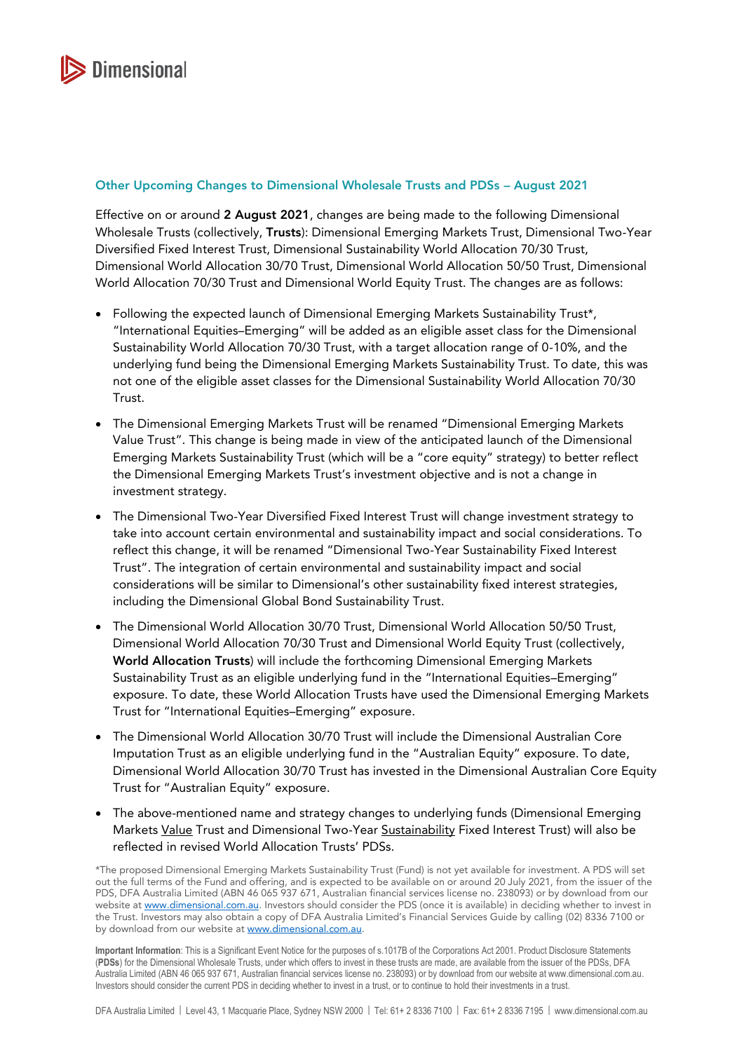

### Other Upcoming Changes to Dimensional Wholesale Trusts and PDSs – August 2021

Effective on or around 2 August 2021, changes are being made to the following Dimensional Wholesale Trusts (collectively, Trusts): Dimensional Emerging Markets Trust, Dimensional Two-Year Diversified Fixed Interest Trust, Dimensional Sustainability World Allocation 70/30 Trust, Dimensional World Allocation 30/70 Trust, Dimensional World Allocation 50/50 Trust, Dimensional World Allocation 70/30 Trust and Dimensional World Equity Trust. The changes are as follows:

- Following the expected launch of Dimensional Emerging Markets Sustainability Trust\*, "International Equities–Emerging" will be added as an eligible asset class for the Dimensional Sustainability World Allocation 70/30 Trust, with a target allocation range of 0-10%, and the underlying fund being the Dimensional Emerging Markets Sustainability Trust. To date, this was not one of the eligible asset classes for the Dimensional Sustainability World Allocation 70/30 Trust.
- The Dimensional Emerging Markets Trust will be renamed "Dimensional Emerging Markets Value Trust". This change is being made in view of the anticipated launch of the Dimensional Emerging Markets Sustainability Trust (which will be a "core equity" strategy) to better reflect the Dimensional Emerging Markets Trust's investment objective and is not a change in investment strategy.
- The Dimensional Two-Year Diversified Fixed Interest Trust will change investment strategy to take into account certain environmental and sustainability impact and social considerations. To reflect this change, it will be renamed "Dimensional Two-Year Sustainability Fixed Interest Trust". The integration of certain environmental and sustainability impact and social considerations will be similar to Dimensional's other sustainability fixed interest strategies, including the Dimensional Global Bond Sustainability Trust.
- The Dimensional World Allocation 30/70 Trust, Dimensional World Allocation 50/50 Trust, Dimensional World Allocation 70/30 Trust and Dimensional World Equity Trust (collectively, World Allocation Trusts) will include the forthcoming Dimensional Emerging Markets Sustainability Trust as an eligible underlying fund in the "International Equities–Emerging" exposure. To date, these World Allocation Trusts have used the Dimensional Emerging Markets Trust for "International Equities–Emerging" exposure.
- The Dimensional World Allocation 30/70 Trust will include the Dimensional Australian Core Imputation Trust as an eligible underlying fund in the "Australian Equity" exposure. To date, Dimensional World Allocation 30/70 Trust has invested in the Dimensional Australian Core Equity Trust for "Australian Equity" exposure.
- The above-mentioned name and strategy changes to underlying funds (Dimensional Emerging Markets Value Trust and Dimensional Two-Year Sustainability Fixed Interest Trust) will also be reflected in revised World Allocation Trusts' PDSs.

<sup>\*</sup>The proposed Dimensional Emerging Markets Sustainability Trust (Fund) is not yet available for investment. A PDS will set out the full terms of the Fund and offering, and is expected to be available on or around 20 July 2021, from the issuer of the PDS, DFA Australia Limited (ABN 46 065 937 671, Australian financial services license no. 238093) or by download from our website a[t www.dimensional.com.au.](www.dimensional.com.au) Investors should consider the PDS (once it is available) in deciding whether to invest in the Trust. Investors may also obtain a copy of DFA Australia Limited's Financial Services Guide by calling (02) 8336 7100 or by download from our website at [www.dimensional.com.au.](www.dimensional.com.au)

**Important Information**: This is a Significant Event Notice for the purposes of s.1017B of the Corporations Act 2001. Product Disclosure Statements (**PDSs**) for the Dimensional Wholesale Trusts, under which offers to invest in these trusts are made, are available from the issuer of the PDSs, DFA Australia Limited (ABN 46 065 937 671, Australian financial services license no. 238093) or by download from our website at www.dimensional.com.au. Investors should consider the current PDS in deciding whether to invest in a trust, or to continue to hold their investments in a trust.